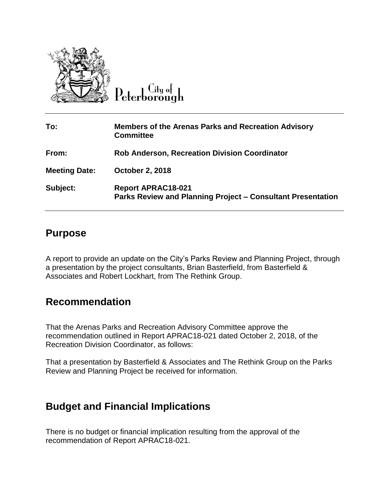

Lity of Peterborough

| To:                  | <b>Members of the Arenas Parks and Recreation Advisory</b><br><b>Committee</b>                  |
|----------------------|-------------------------------------------------------------------------------------------------|
| From:                | <b>Rob Anderson, Recreation Division Coordinator</b>                                            |
| <b>Meeting Date:</b> | <b>October 2, 2018</b>                                                                          |
| Subject:             | <b>Report APRAC18-021</b><br><b>Parks Review and Planning Project - Consultant Presentation</b> |

## **Purpose**

A report to provide an update on the City's Parks Review and Planning Project, through a presentation by the project consultants, Brian Basterfield, from Basterfield & Associates and Robert Lockhart, from The Rethink Group.

## **Recommendation**

That the Arenas Parks and Recreation Advisory Committee approve the recommendation outlined in Report APRAC18-021 dated October 2, 2018, of the Recreation Division Coordinator, as follows:

That a presentation by Basterfield & Associates and The Rethink Group on the Parks Review and Planning Project be received for information.

## **Budget and Financial Implications**

There is no budget or financial implication resulting from the approval of the recommendation of Report APRAC18-021.